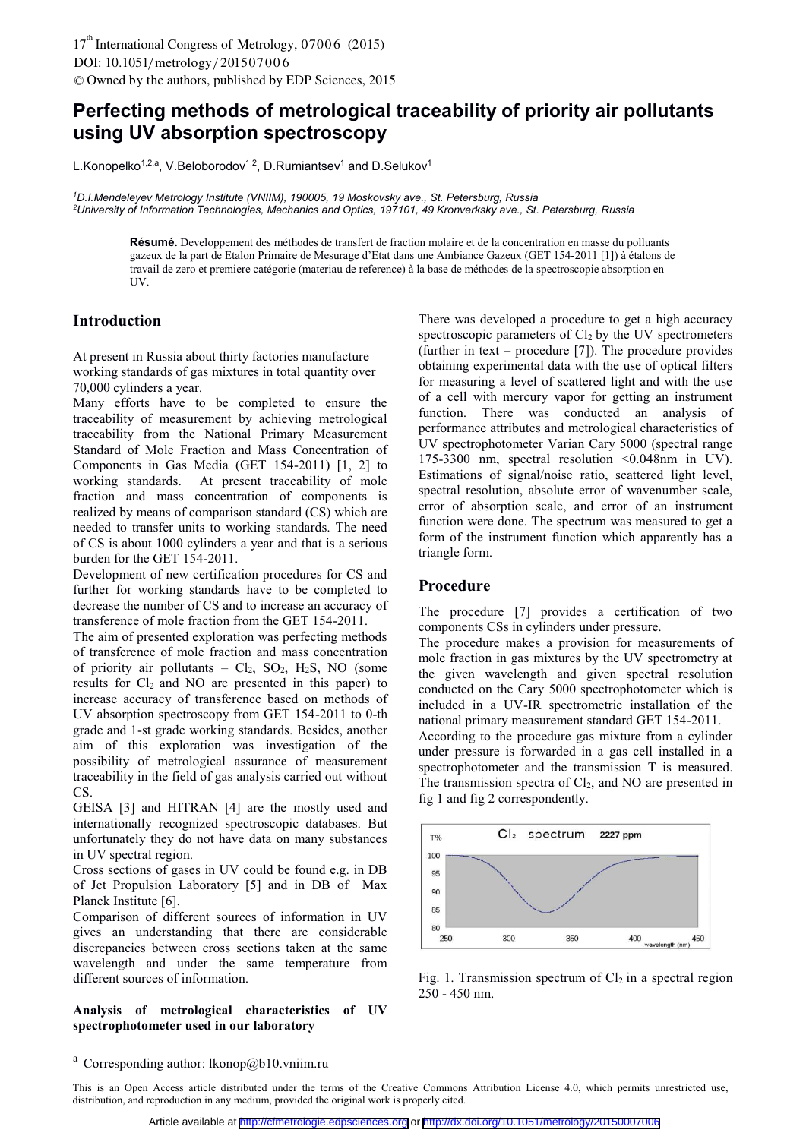# **Perfecting methods of metrological traceability of priority air pollutants using UV absorption spectroscopy**

L.Konopelko<sup>1,2,a</sup>, V.Beloborodov<sup>1,2</sup>, D.Rumiantsev<sup>1</sup> and D.Selukov<sup>1</sup>

*1 D.I.Mendeleyev Metrology Institute (VNIIM), 190005, 19 Moskovsky ave., St. Petersburg, Russia 2 University of Information Technologies, Mechanics and Optics, 197101, 49 Kronverksky ave., St. Petersburg, Russia* 

**Résumé.** Developpement des méthodes de transfert de fraction molaire et de la concentration en masse du polluants gazeux de la part de Etalon Primaire de Mesurage d'Etat dans une Ambiance Gazeux (GET 154-2011 [1]) à étalons de travail de zero et premiere catégorie (materiau de reference) à la base de méthodes de la spectroscopie absorption en UV.

## **Introduction**

At present in Russia about thirty factories manufacture working standards of gas mixtures in total quantity over 70,000 cylinders a year.

Many efforts have to be completed to ensure the traceability of measurement by achieving metrological traceability from the National Primary Measurement Standard of Mole Fraction and Mass Concentration of Components in Gas Media (GET 154-2011) [1, 2] to working standards. At present traceability of mole fraction and mass concentration of components is realized by means of comparison standard (CS) which are needed to transfer units to working standards. The need of CS is about 1000 cylinders a year and that is a serious burden for the GET 154-2011.

Development of new certification procedures for CS and further for working standards have to be completed to decrease the number of CS and to increase an accuracy of transference of mole fraction from the GET 154-2011.

The aim of presented exploration was perfecting methods of transference of mole fraction and mass concentration of priority air pollutants –  $Cl_2$ ,  $SO_2$ ,  $H_2S$ , NO (some results for  $Cl<sub>2</sub>$  and NO are presented in this paper) to increase accuracy of transference based on methods of UV absorption spectroscopy from GET 154-2011 to 0-th grade and 1-st grade working standards. Besides, another aim of this exploration was investigation of the possibility of metrological assurance of measurement traceability in the field of gas analysis carried out without CS.

GEISA [3] and HITRAN [4] are the mostly used and internationally recognized spectroscopic databases. But unfortunately they do not have data on many substances in UV spectral region.

Cross sections of gases in UV could be found e.g. in DB of Jet Propulsion Laboratory [5] and in DB of Max Planck Institute [6].

Comparison of different sources of information in UV gives an understanding that there are considerable discrepancies between cross sections taken at the same wavelength and under the same temperature from different sources of information.

### **Analysis of metrological characteristics of UV spectrophotometer used in our laboratory**

There was developed a procedure to get a high accuracy spectroscopic parameters of  $Cl<sub>2</sub>$  by the UV spectrometers (further in text – procedure [7]). The procedure provides obtaining experimental data with the use of optical filters for measuring a level of scattered light and with the use of a cell with mercury vapor for getting an instrument function. There was conducted an analysis of performance attributes and metrological characteristics of UV spectrophotometer Varian Cary 5000 (spectral range 175-3300 nm, spectral resolution <0.048nm in UV). Estimations of signal/noise ratio, scattered light level, spectral resolution, absolute error of wavenumber scale, error of absorption scale, and error of an instrument function were done. The spectrum was measured to get a form of the instrument function which apparently has a triangle form.

## **Procedure**

The procedure [7] provides a certification of two components CSs in cylinders under pressure.

The procedure makes a provision for measurements of mole fraction in gas mixtures by the UV spectrometry at the given wavelength and given spectral resolution conducted on the Cary 5000 spectrophotometer which is included in a UV-IR spectrometric installation of the national primary measurement standard GET 154-2011.

According to the procedure gas mixture from a cylinder under pressure is forwarded in a gas cell installed in a spectrophotometer and the transmission T is measured. The transmission spectra of  $Cl<sub>2</sub>$ , and NO are presented in fig 1 and fig 2 correspondently.



Fig. 1. Transmission spectrum of  $Cl<sub>2</sub>$  in a spectral region 250 - 450 nm.

<sup>&</sup>lt;sup>a</sup> Corresponding author: lkonop@b10.vniim.ru

This is an Open Access article distributed under the terms of the Creative Commons Attribution License 4.0, which permits unrestricted use, distribution, and reproduction in any medium, provided the original work is properly cited.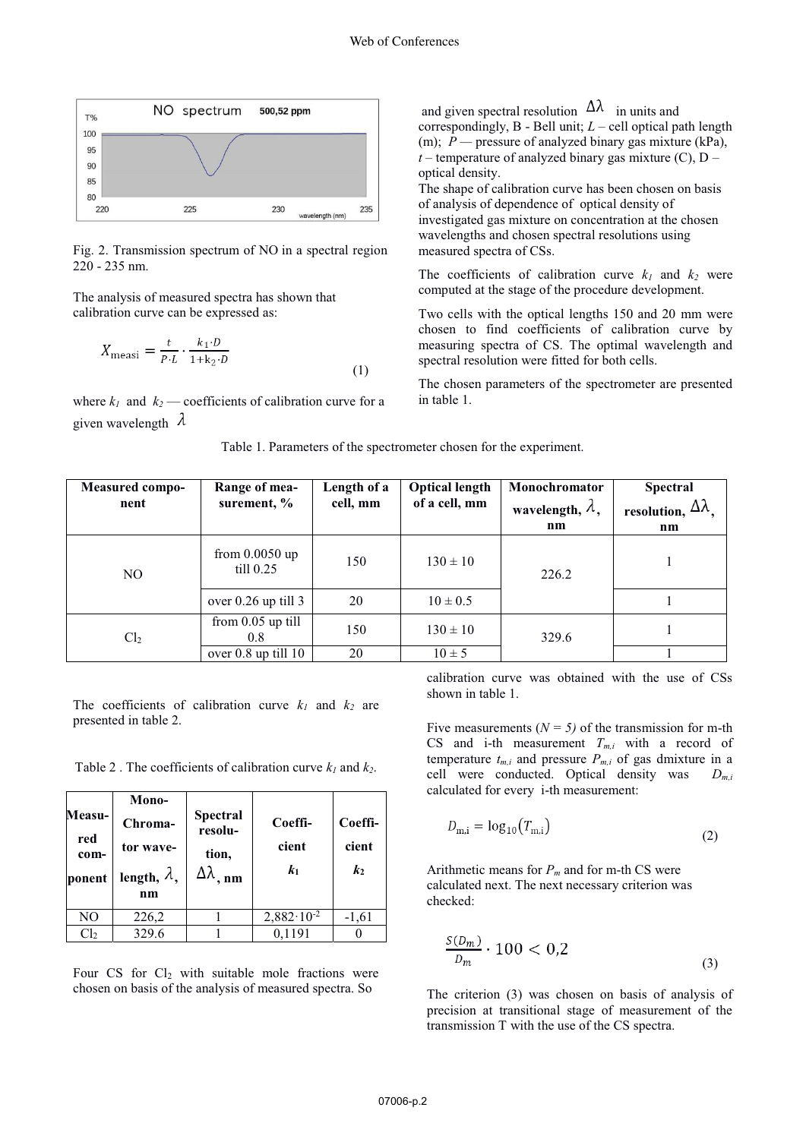

Fig. 2. Transmission spectrum of NO in a spectral region 220 - 235 nm.

The analysis of measured spectra has shown that calibration curve can be expressed as:

$$
X_{\text{measi}} = \frac{t}{P \cdot L} \cdot \frac{k_1 \cdot D}{1 + k_2 \cdot D} \tag{1}
$$

where  $k_1$  and  $k_2$  — coefficients of calibration curve for a given wavelength  $\lambda$ 

and given spectral resolution  $\Delta\lambda$  in units and correspondingly, B - Bell unit; *L* – cell optical path length (m); *Р —* pressure of analyzed binary gas mixture (kPa),  $t$  – temperature of analyzed binary gas mixture (C),  $D$  – optical density.

The shape of calibration curve has been chosen on basis of analysis of dependence of optical density of investigated gas mixture on concentration at the chosen wavelengths and chosen spectral resolutions using measured spectra of CSs.

The coefficients of calibration curve  $k_1$  and  $k_2$  were computed at the stage of the procedure development.

Two cells with the optical lengths 150 and 20 mm were chosen to find coefficients of calibration curve by measuring spectra of CS. The optimal wavelength and spectral resolution were fitted for both cells.

The chosen parameters of the spectrometer are presented in table 1.

| Table 1. Parameters of the spectrometer chosen for the experiment. |  |  |  |
|--------------------------------------------------------------------|--|--|--|
|                                                                    |  |  |  |

| <b>Measured compo-</b><br>nent | Range of mea-<br>surement, %            | Length of a<br>cell, mm | <b>Optical length</b><br>of a cell, mm | Monochromator<br>wavelength, $\lambda$ ,<br>nm | <b>Spectral</b><br>resolution, $\Delta\lambda$ ,<br>nm |
|--------------------------------|-----------------------------------------|-------------------------|----------------------------------------|------------------------------------------------|--------------------------------------------------------|
| N <sub>O</sub>                 | from $0.0050$ up<br>$\text{till } 0.25$ | 150                     | $130 \pm 10$                           | 226.2                                          |                                                        |
|                                | over $0.26$ up till 3                   | 20                      | $10 \pm 0.5$                           |                                                |                                                        |
| Cl <sub>2</sub>                | from $0.05$ up till<br>0.8              | 150                     | $130 \pm 10$                           | 329.6                                          |                                                        |
|                                | over $0.8$ up till $10$                 | 20                      | $10 \pm 5$                             |                                                |                                                        |

The coefficients of calibration curve  $k_1$  and  $k_2$  are presented in table 2.

Table 2. The coefficients of calibration curve  $k_1$  and  $k_2$ .

| Measu-<br>red<br>com-<br>ponent | Mono-<br>Chroma-<br>tor wave-<br>length, $\lambda$ ,<br>n <sub>m</sub> | <b>Spectral</b><br>resolu-<br>tion,<br>Δλ<br>$n_{m}$ | Coeffi-<br>cient<br>$\mathbf{k}_1$ | Coeffi-<br>cient<br>$\mathbf{k}_2$ |
|---------------------------------|------------------------------------------------------------------------|------------------------------------------------------|------------------------------------|------------------------------------|
| NO                              | 226,2                                                                  |                                                      | $2,882 \cdot 10^{-2}$              | $-1,61$                            |
| Cl <sub>2</sub>                 | 329.6                                                                  |                                                      | 0,1191                             |                                    |

Four CS for  $Cl<sub>2</sub>$  with suitable mole fractions were chosen on basis of the analysis of measured spectra. So

calibration curve was obtained with the use of CSs shown in table 1.

Five measurements  $(N = 5)$  of the transmission for m-th CS and i-th measurement  $T_{m,i}$  with a record of temperature  $t_{m,i}$  and pressure  $P_{m,i}$  of gas dmixture in a cell were conducted. Optical density was *Dm,i* calculated for every i-th measurement:

$$
D_{m,i} = \log_{10}(T_{m,i})
$$
\n(2)

Arithmetic means for  $P_m$  and for m-th CS were calculated next. The next necessary criterion was checked:

$$
\frac{S(D_m)}{D_m} \cdot 100 < 0.2 \tag{3}
$$

The criterion (3) was chosen on basis of analysis of precision at transitional stage of measurement of the transmission T with the use of the CS spectra.